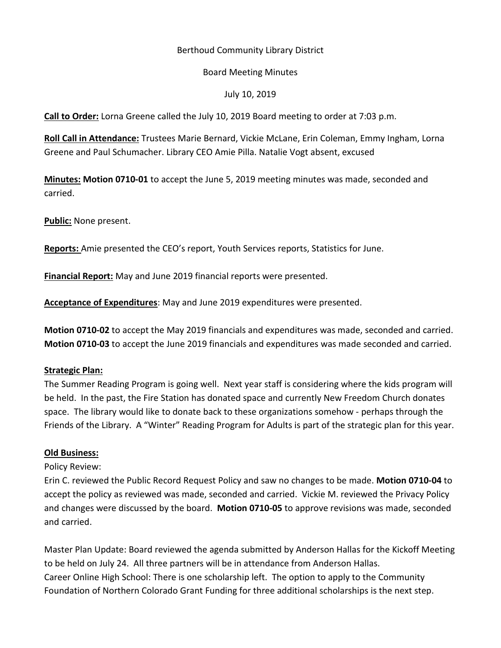# Berthoud Community Library District

## Board Meeting Minutes

## July 10, 2019

**Call to Order:** Lorna Greene called the July 10, 2019 Board meeting to order at 7:03 p.m.

**Roll Call in Attendance:** Trustees Marie Bernard, Vickie McLane, Erin Coleman, Emmy Ingham, Lorna Greene and Paul Schumacher. Library CEO Amie Pilla. Natalie Vogt absent, excused

**Minutes: Motion 0710-01** to accept the June 5, 2019 meeting minutes was made, seconded and carried.

**Public:** None present.

**Reports:** Amie presented the CEO's report, Youth Services reports, Statistics for June.

**Financial Report:** May and June 2019 financial reports were presented.

**Acceptance of Expenditures**: May and June 2019 expenditures were presented.

**Motion 0710-02** to accept the May 2019 financials and expenditures was made, seconded and carried. **Motion 0710-03** to accept the June 2019 financials and expenditures was made seconded and carried.

## **Strategic Plan:**

The Summer Reading Program is going well. Next year staff is considering where the kids program will be held. In the past, the Fire Station has donated space and currently New Freedom Church donates space. The library would like to donate back to these organizations somehow - perhaps through the Friends of the Library. A "Winter" Reading Program for Adults is part of the strategic plan for this year.

## **Old Business:**

## Policy Review:

Erin C. reviewed the Public Record Request Policy and saw no changes to be made. **Motion 0710-04** to accept the policy as reviewed was made, seconded and carried. Vickie M. reviewed the Privacy Policy and changes were discussed by the board. **Motion 0710-05** to approve revisions was made, seconded and carried.

Master Plan Update: Board reviewed the agenda submitted by Anderson Hallas for the Kickoff Meeting to be held on July 24. All three partners will be in attendance from Anderson Hallas. Career Online High School: There is one scholarship left. The option to apply to the Community Foundation of Northern Colorado Grant Funding for three additional scholarships is the next step.